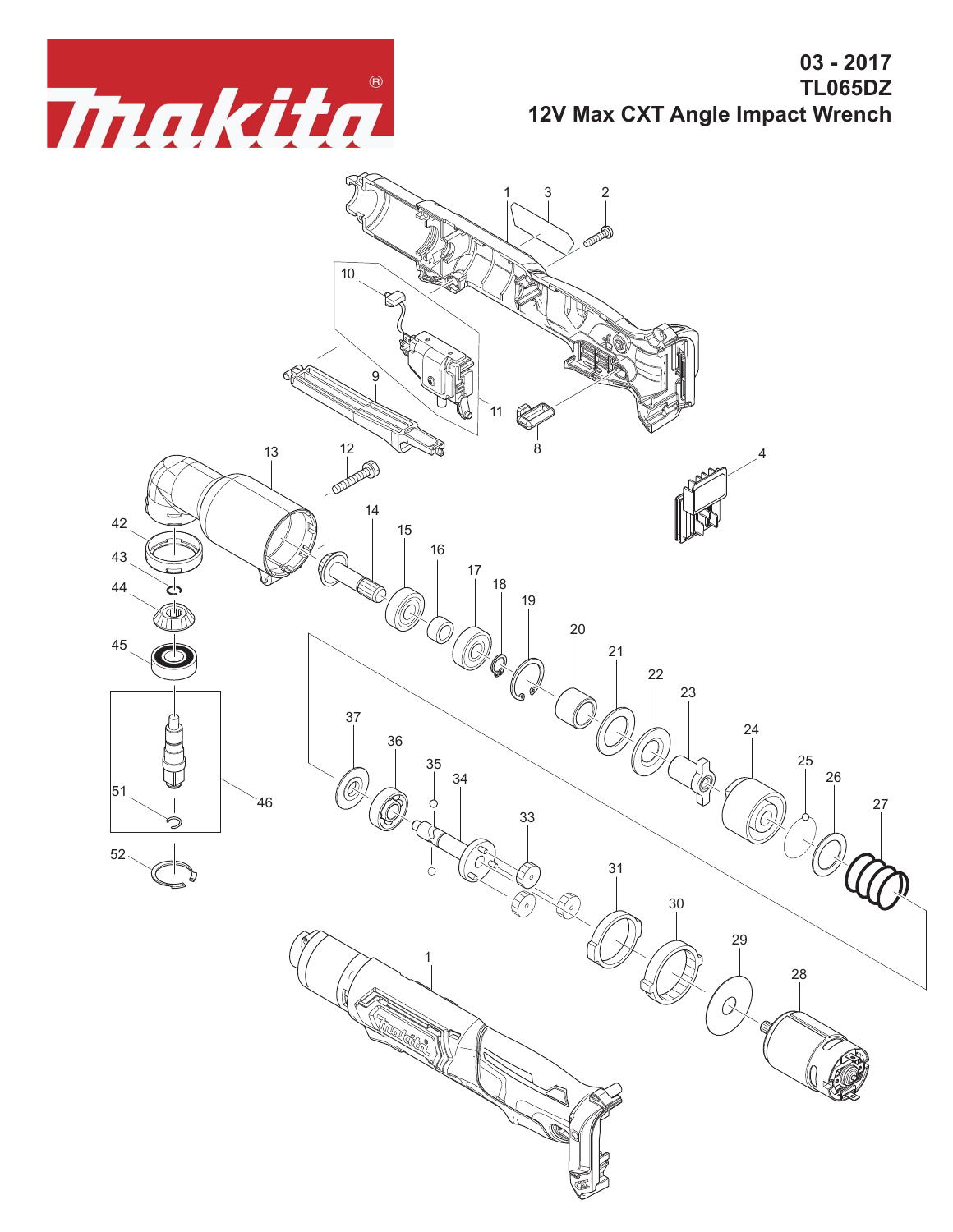